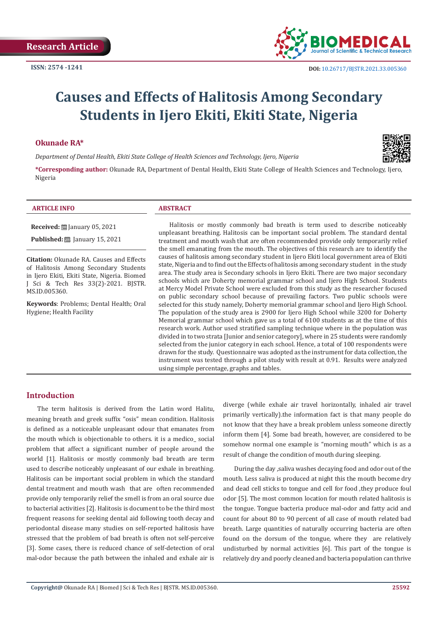

# **Causes and Effects of Halitosis Among Secondary Students in Ijero Ekiti, Ekiti State, Nigeria**

#### **Okunade RA\***

*Department of Dental Health, Ekiti State College of Health Sciences and Technology, Ijero, Nigeria*



**\*Corresponding author:** Okunade RA, Department of Dental Health, Ekiti State College of Health Sciences and Technology, Ijero, Nigeria

#### **ARTICLE INFO ABSTRACT**

MS.ID.005360.

**Citation:** Okunade RA. Causes and Effects of Halitosis Among Secondary Students in Ijero Ekiti, Ekiti State, Nigeria. Biomed J Sci & Tech Res 33(2)-2021. BJSTR.

**Received:** January 05, 2021 **Published:** ■ January 15, 2021

**Keywords**: Problems; Dental Health; Oral Hygiene; Health Facility

Halitosis or mostly commonly bad breath is term used to describe noticeably unpleasant breathing. Halitosis can be important social problem. The standard dental treatment and mouth wash that are often recommended provide only temporarily relief the smell emanating from the mouth. The objectives of this research are to identify the causes of halitosis among secondary student in Ijero Ekiti local government area of Ekiti state, Nigeria and to find out the Effects of halitosis among secondary student in the study area. The study area is Secondary schools in Ijero Ekiti. There are two major secondary schools which are Doherty memorial grammar school and Ijero High School. Students at Mercy Model Private School were excluded from this study as the researcher focused on public secondary school because of prevailing factors. Two public schools were selected for this study namely, Doherty memorial grammar school and Ijero High School. The population of the study area is 2900 for Ijero High School while 3200 for Doherty Memorial grammar school which gave us a total of 6100 students as at the time of this research work. Author used stratified sampling technique where in the population was divided in to two strata [Junior and senior category], where in 25 students were randomly selected from the junior category in each school. Hence, a total of 100 respondents were drawn for the study. Questionnaire was adopted as the instrument for data collection, the instrument was tested through a pilot study with result at 0.91. Results were analyzed using simple percentage, graphs and tables.

### **Introduction**

The term halitosis is derived from the Latin word Halitu, meaning breath and greek suffix "osis" mean condition. Halitosis is defined as a noticeable unpleasant odour that emanates from the mouth which is objectionable to others. it is a medico\_ social problem that affect a significant number of people around the world [1]. Halitosis or mostly commonly bad breath are term used to describe noticeably unpleasant of our exhale in breathing. Halitosis can be important social problem in which the standard dental treatment and mouth wash that are often recommended provide only temporarily relief the smell is from an oral source due to bacterial activities [2]. Halitosis is document to be the third most frequent reasons for seeking dental aid following tooth decay and periodontal disease many studies on self-reported halitosis have stressed that the problem of bad breath is often not self-perceive [3]. Some cases, there is reduced chance of self-detection of oral mal-odor because the path between the inhaled and exhale air is diverge (while exhale air travel horizontally, inhaled air travel primarily vertically).the information fact is that many people do not know that they have a break problem unless someone directly inform them [4]. Some bad breath, however, are considered to be somehow normal one example is "morning mouth" which is as a result of change the condition of mouth during sleeping.

During the day ,saliva washes decaying food and odor out of the mouth. Less saliva is produced at night this the mouth become dry and dead cell sticks to tongue and cell for food ,they produce foul odor [5]. The most common location for mouth related halitosis is the tongue. Tongue bacteria produce mal-odor and fatty acid and count for about 80 to 90 percent of all case of mouth related bad breath. Large quantities of naturally occurring bacteria are often found on the dorsum of the tongue, where they are relatively undisturbed by normal activities [6]. This part of the tongue is relatively dry and poorly cleaned and bacteria population can thrive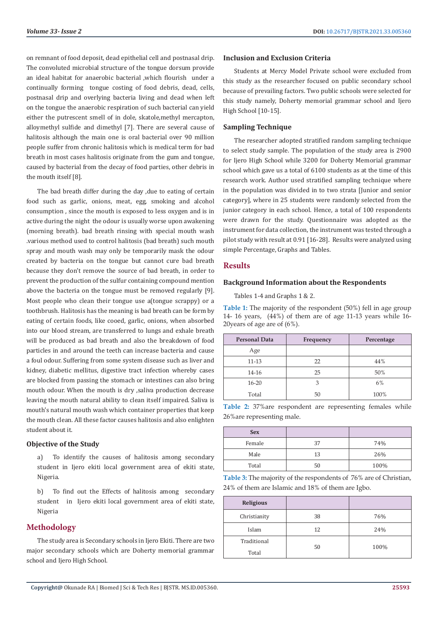on remnant of food deposit, dead epithelial cell and postnasal drip. The convoluted microbial structure of the tongue dorsum provide an ideal habitat for anaerobic bacterial ,which flourish under a continually forming tongue costing of food debris, dead, cells, postnasal drip and overlying bacteria living and dead when left on the tongue the anaerobic respiration of such bacterial can yield either the putrescent smell of in dole, skatole,methyl mercapton, alloymethyl sulfide and dimethyl [7]. There are several cause of halitosis although the main one is oral bacterial over 90 million people suffer from chronic halitosis which is medical term for bad breath in most cases halitosis originate from the gum and tongue, caused by bacterial from the decay of food parties, other debris in the mouth itself [8].

The bad breath differ during the day ,due to eating of certain food such as garlic, onions, meat, egg, smoking and alcohol consumption , since the mouth is exposed to less oxygen and is in active during the night the odour is usually worse upon awakening (morning breath). bad breath rinsing with special mouth wash .various method used to control halitosis (bad breath) such mouth spray and mouth wash may only be temporarily mask the odour created by bacteria on the tongue but cannot cure bad breath because they don't remove the source of bad breath, in order to prevent the production of the sulfur containing compound mention above the bacteria on the tongue must be removed regularly [9]. Most people who clean their tongue use a(tongue scrappy) or a toothbrush. Halitosis has the meaning is bad breath can be form by eating of certain foods, like cooed, garlic, onions, when absorbed into our blood stream, are transferred to lungs and exhale breath will be produced as bad breath and also the breakdown of food particles in and around the teeth can increase bacteria and cause a foul odour. Suffering from some system disease such as liver and kidney, diabetic mellitus, digestive tract infection whereby cases are blocked from passing the stomach or intestines can also bring mouth odour. When the mouth is dry ,saliva production decrease leaving the mouth natural ability to clean itself impaired. Saliva is mouth's natural mouth wash which container properties that keep the mouth clean. All these factor causes halitosis and also enlighten student about it.

#### **Objective of the Study**

a) To identify the causes of halitosis among secondary student in Ijero ekiti local government area of ekiti state, Nigeria.

b) To find out the Effects of halitosis among secondary student in Ijero ekiti local government area of ekiti state, Nigeria

### **Methodology**

The study area is Secondary schools in Ijero Ekiti. There are two major secondary schools which are Doherty memorial grammar school and Ijero High School.

#### **Inclusion and Exclusion Criteria**

Students at Mercy Model Private school were excluded from this study as the researcher focused on public secondary school because of prevailing factors. Two public schools were selected for this study namely, Doherty memorial grammar school and Ijero High School [10-15].

#### **Sampling Technique**

The researcher adopted stratified random sampling technique to select study sample. The population of the study area is 2900 for Ijero High School while 3200 for Doherty Memorial grammar school which gave us a total of 6100 students as at the time of this research work. Author used stratified sampling technique where in the population was divided in to two strata [Junior and senior category], where in 25 students were randomly selected from the junior category in each school. Hence, a total of 100 respondents were drawn for the study. Questionnaire was adopted as the instrument for data collection, the instrument was tested through a pilot study with result at 0.91 [16-28]. Results were analyzed using simple Percentage, Graphs and Tables.

#### **Results**

#### **Background Information about the Respondents**

Tables 1-4 and Graphs 1 & 2.

**Table 1:** The majority of the respondent (50%) fell in age group 14- 16 years, (44%) of them are of age 11-13 years while 16- 20years of age are of (6%).

| <b>Personal Data</b> | Frequency | Percentage |
|----------------------|-----------|------------|
| Age                  |           |            |
| $11 - 13$            | 22        | 44%        |
| 14-16                | 25        | 50%        |
| $16 - 20$            | 3         | 6%         |
| Total                | 50        | 100%       |

**Table 2:** 37%are respondent are representing females while 26%are representing male.

| <b>Sex</b> |    |      |
|------------|----|------|
| Female     | 37 | 74%  |
| Male       | 13 | 26%  |
| Total      | 50 | 100% |

**Table 3:** The majority of the respondents of 76% are of Christian, 24% of them are Islamic and 18% of them are Igbo.

| <b>Religious</b> |    |      |
|------------------|----|------|
| Christianity     | 38 | 76%  |
| Islam            | 12 | 24%  |
| Traditional      | 50 | 100% |
| Total            |    |      |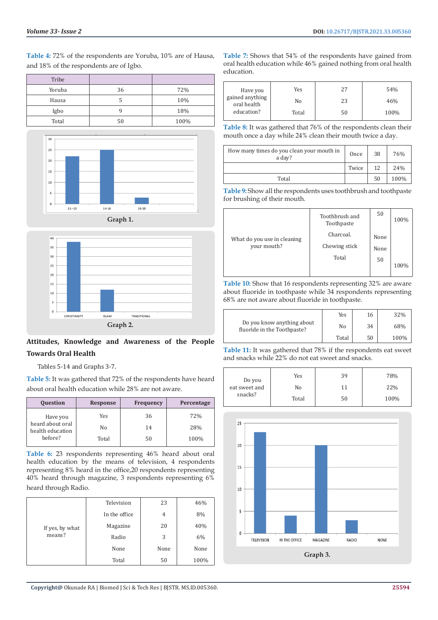**Table 4:** 72% of the respondents are Yoruba, 10% are of Hausa, and 18% of the respondents are of Igbo.

| Tribe  |    |      |
|--------|----|------|
| Yoruba | 36 | 72%  |
| Hausa  |    | 10%  |
| Igbo   |    | 18%  |
| Total  | 50 | 100% |





## **Attitudes, Knowledge and Awareness of the People Towards Oral Health**

Tables 5-14 and Graphs 3-7.

**Table 5:** It was gathered that 72% of the respondents have heard about oral health education while 28% are not aware.

| <b>Question</b>                      | <b>Response</b> | <b>Frequency</b> | Percentage |
|--------------------------------------|-----------------|------------------|------------|
| Have you                             | Yes             | 36               | 72%        |
| heard about oral<br>health education | No              | 14               | 28%        |
| before?                              | Total           | 50               | 100%       |

**Table 6:** 23 respondents representing 46% heard about oral health education by the means of television, 4 respondents representing 8% heard in the office,20 respondents representing 40% heard through magazine, 3 respondents representing 6% heard through Radio.

|                 | Television    | 23   | 46%  |
|-----------------|---------------|------|------|
|                 | In the office | 4    | 8%   |
| If yes, by what | Magazine      | 20   | 40%  |
| means?          | Radio         | 3    | 6%   |
|                 | None          | None | None |
|                 | Total         | 50   | 100% |

**Table 7:** Shows that 54% of the respondents have gained from oral health education while 46% gained nothing from oral health education.

| Have you                       | Yes   | 27 | 54%  |
|--------------------------------|-------|----|------|
| gained anything<br>oral health | No    | 23 | 46%  |
| education?                     | Total | 50 | 100% |

**Table 8:** It was gathered that 76% of the respondents clean their mouth once a day while 24% clean their mouth twice a day.

| How many times do you clean your mouth in<br>a day? | Once  | 38 | 76%  |
|-----------------------------------------------------|-------|----|------|
|                                                     | Twice | 12 | 24%  |
| Total                                               |       | 50 | 100% |

**Table 9:** Show all the respondents uses toothbrush and toothpaste for brushing of their mouth.

|                             | Toothbrush and<br>Toothpaste | 50   | 100% |
|-----------------------------|------------------------------|------|------|
| What do you use in cleaning | Charcoal.                    | None |      |
| your mouth?                 | Chewing stick                | None |      |
|                             | Total                        | 50   | 100% |
|                             |                              |      |      |

**Table 10:** Show that 16 respondents representing 32% are aware about fluoride in toothpaste while 34 respondents representing 68% are not aware about fluoride in toothpaste.

|                                                           | Yes   | 16 | 32%  |
|-----------------------------------------------------------|-------|----|------|
| Do you know anything about<br>fluoride in the Toothpaste? | No    | 34 | 68%  |
|                                                           | Total | 50 | 100% |

**Table 11:** It was gathered that 78% if the respondents eat sweet and snacks while 22% do not eat sweet and snacks.

|                         | Yes   | 39 | 78%  |
|-------------------------|-------|----|------|
| Do you<br>eat sweet and | No    | 11 | 22%  |
| snacks?                 | Total | 50 | 100% |

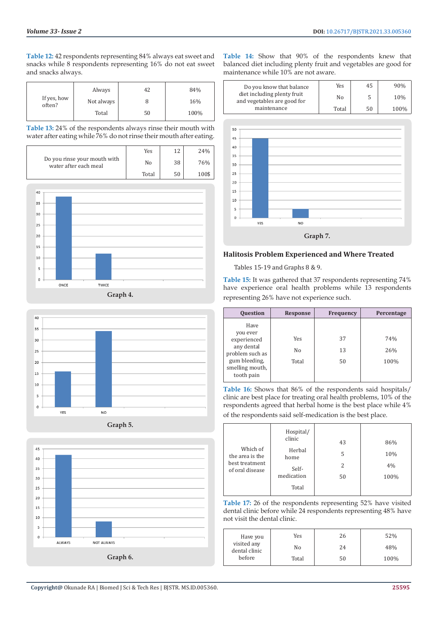**Table 12:** 42 respondents representing 84% always eat sweet and snacks while 8 respondents representing 16% do not eat sweet and snacks always.

|                       | Always     | 42 | 84%  |
|-----------------------|------------|----|------|
| If yes, how<br>often? | Not always |    | 16%  |
|                       | Total      | 50 | 100% |

**Table 13:** 24% of the respondents always rinse their mouth with water after eating while 76% do not rinse their mouth after eating.

|                                                       | Yes   | 1つ | 24%   |
|-------------------------------------------------------|-------|----|-------|
| Do you rinse your mouth with<br>water after each meal | No    | 38 | 76%   |
|                                                       | Total | 50 | 100\$ |





**Graph 5.**



**Table 14:** Show that 90% of the respondents knew that balanced diet including plenty fruit and vegetables are good for maintenance while 10% are not aware.



15  $10$  $\overline{5}$  $\overline{a}$ YES NO **Graph 7. Halitosis Problem Experienced and Where Treated**

Tables 15-19 and Graphs 8 & 9.

**Table 15:** It was gathered that 37 respondents representing 74% have experience oral health problems while 13 respondents representing 26% have not experience such.

| <b>Question</b>                                                                                                    | <b>Response</b>    | <b>Frequency</b> | Percentage         |
|--------------------------------------------------------------------------------------------------------------------|--------------------|------------------|--------------------|
| Have<br>you ever<br>experienced<br>any dental<br>problem such as<br>gum bleeding.<br>smelling mouth,<br>tooth pain | Yes<br>No<br>Total | 37<br>13<br>50   | 74%<br>26%<br>100% |

**Table 16:** Shows that 86% of the respondents said hospitals/ clinic are best place for treating oral health problems, 10% of the respondents agreed that herbal home is the best place while 4% of the respondents said self-medication is the best place.

| Which of<br>the area is the<br>best treatment<br>of oral disease | Hospital/<br>clinic<br>Herbal<br>home<br>Self-<br>medication | 43<br>5<br>2<br>50 | 86%<br>10%<br>4%<br>100% |
|------------------------------------------------------------------|--------------------------------------------------------------|--------------------|--------------------------|
|                                                                  | Total                                                        |                    |                          |

**Table 17:** 26 of the respondents representing 52% have visited dental clinic before while 24 respondents representing 48% have not visit the dental clinic.

| Have you                     | Yes   | 26 | 52%  |
|------------------------------|-------|----|------|
| visited any<br>dental clinic | No    | 24 | 48%  |
| before                       | Total | 50 | 100% |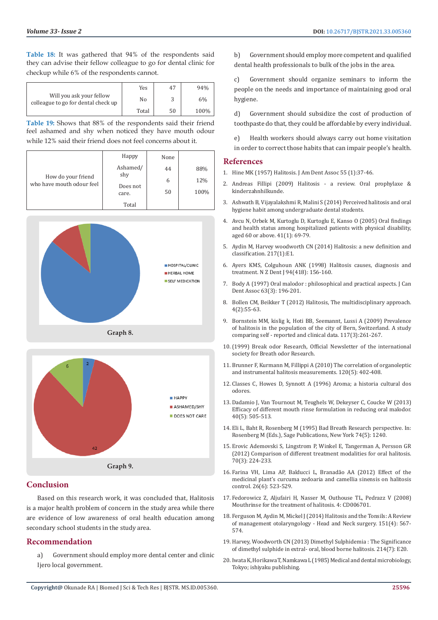**Table 18:** It was gathered that 94% of the respondents said they can advise their fellow colleague to go for dental clinic for checkup while 6% of the respondents cannot.

|                                                                 | Yes   | 47 | 94%  |
|-----------------------------------------------------------------|-------|----|------|
| Will you ask your fellow<br>colleague to go for dental check up | No    |    | 6%   |
|                                                                 | Total | 50 | 100% |

**Table 19:** Shows that 88% of the respondents said their friend feel ashamed and shy when noticed they have mouth odour while 12% said their friend does not feel concerns about it.

| How do your friend<br>who have mouth odour feel | Happy                                | None |      |
|-------------------------------------------------|--------------------------------------|------|------|
|                                                 | Ashamed/<br>shy<br>Does not<br>care. | 44   | 88%  |
|                                                 |                                      | 6    | 12%  |
|                                                 |                                      | 50   | 100% |
|                                                 | Total                                |      |      |





#### **Conclusion**

Based on this research work, it was concluded that, Halitosis is a major health problem of concern in the study area while there are evidence of low awareness of oral health education among secondary school students in the study area.

#### **Recommendation**

a) Government should employ more dental center and clinic Ijero local government.

b) Government should employ more competent and qualified dental health professionals to bulk of the jobs in the area.

c) Government should organize seminars to inform the people on the needs and importance of maintaining good oral hygiene.

d) Government should subsidize the cost of production of toothpaste do that, they could be affordable by every individual.

e) Health workers should always carry out home visitation in order to correct those habits that can impair people's health.

#### **References**

- 1. Hine MK (1957) Halitosis. J Am Dent Assoc 55 (1):37-46.
- 2. Andreas Fillipi (2009) Halitosis a review. Oral prophylaxe & kinderzahnhilkunde.
- 3. Ashwath B, Vijayalakshmi R, Malini S (2014) Perceived halitosis and oral hygiene habit among undergraduate dental students.
- 4. [Avcu N, Orbek M, Kurtoglu D, Kurtoglu E, Kanso O \(2005\) Oral findings](https://pubmed.ncbi.nlm.nih.gov/15911040/) [and health status among hospitalized patients with physical disability,](https://pubmed.ncbi.nlm.nih.gov/15911040/) [aged 60 or above. 41\(1\): 69-79.](https://pubmed.ncbi.nlm.nih.gov/15911040/)
- 5. Aydin M, Harvey woodworth CN (2014) Halitosis: a new definition and classification. 217(1):E1.
- 6. [Ayers KMS, Colguhoun ANK \(1998\) Halitosis causes, diagnosis and](https://pubmed.ncbi.nlm.nih.gov/9889536/) [treatment. N Z Dent J 94\(418\): 156-160.](https://pubmed.ncbi.nlm.nih.gov/9889536/)
- 7. [Body A \(1997\) Oral malodor : philosophical and practical aspects. J Can](https://pubmed.ncbi.nlm.nih.gov/9086681/) [Dent Assoc 63\(3\): 196-201.](https://pubmed.ncbi.nlm.nih.gov/9086681/)
- 8. [Bollen CM, Beikker T \(2012\) Halitosis, The multidisciplinary approach.](https://pubmed.ncbi.nlm.nih.gov/22722640/) [4\(2\):55-63.](https://pubmed.ncbi.nlm.nih.gov/22722640/)
- 9. Bornstein MM, kislig k, Hoti BB, Seemannt, Lussi A (2009) Prevalence of halitosis in the population of the city of Bern, Switzerland. A study comparing self - reported and clinical data. 117(3):261-267.
- 10.(1999) Break odor Research, Official Newsletter of the international society for Breath odor Research.
- 11. [Brunner F, Kurmann M, Fillippi A \(2010\) The correlation of organoleptic](https://pubmed.ncbi.nlm.nih.gov/20533102/) [and instrumental halitosis measurements. 120\(5\): 402-408.](https://pubmed.ncbi.nlm.nih.gov/20533102/)
- 12. Classes C, Howes D, Synnott A (1996) Aroma; a historia cultural dos odores.
- 13. [Dadamio J, Van Tournout M, Teughels W, Dekeyser C, Coucke W \(2013\)](https://pubmed.ncbi.nlm.nih.gov/23489103/) [Efficacy of different mouth rinse formulation in reducing oral malodor.](https://pubmed.ncbi.nlm.nih.gov/23489103/) [40\(5\): 505-513.](https://pubmed.ncbi.nlm.nih.gov/23489103/)
- 14. [Eli L, Baht R, Rosenberg M \(1995\) Bad Breath Research perspective. In:](https://journals.sagepub.com/doi/abs/10.1177/00220345950740051501) [Rosenberg M \(Eds.\), Sage Publications, New York 74\(5\): 1240.](https://journals.sagepub.com/doi/abs/10.1177/00220345950740051501)
- 15. [Erovic Ademovski S, Lingstrom P, Winkel E, Tangerman A, Persson GR](https://pubmed.ncbi.nlm.nih.gov/22149929/) [\(2012\) Comparison of different treatment modalities for oral halitosis.](https://pubmed.ncbi.nlm.nih.gov/22149929/) [70\(3\): 224-233.](https://pubmed.ncbi.nlm.nih.gov/22149929/)
- 16. [Farina VH, Lima AP, Balducci L, Branadão AA \(2012\) Effect of the](https://pubmed.ncbi.nlm.nih.gov/23019084/) [medicinal plant's curcuma zedoaria and camellia sinensis on halitosis](https://pubmed.ncbi.nlm.nih.gov/23019084/) [control. 26\(6\): 523-529.](https://pubmed.ncbi.nlm.nih.gov/23019084/)
- 17. Fedorowicz Z, Aljufairi H, Nasser M, Outhouse TL, Pedrazz V (2008) Mouthrinse for the treatment of halitosis. 4: CD006701.
- 18. [Ferguson M, Aydin M, Mickel J \(2014\) Halitosis and the Tonsils: A Review](https://pubmed.ncbi.nlm.nih.gov/25096359/) [of management otolaryngology - Head and Neck surgery. 151\(4\): 567-](https://pubmed.ncbi.nlm.nih.gov/25096359/) [574.](https://pubmed.ncbi.nlm.nih.gov/25096359/)
- 19. [Harvey, Woodworth CN \(2013\) Dimethyl Sulphidemia : The Significance](https://pubmed.ncbi.nlm.nih.gov/23579164/) [of dimethyl sulphide in extral- oral, blood borne halitosis. 214\(7\): E20.](https://pubmed.ncbi.nlm.nih.gov/23579164/)
- 20. Iwata K, Horikawa T, Namkawa L (1985) Medical and dental microbiology, Tokyo; ishiyaku publishing.